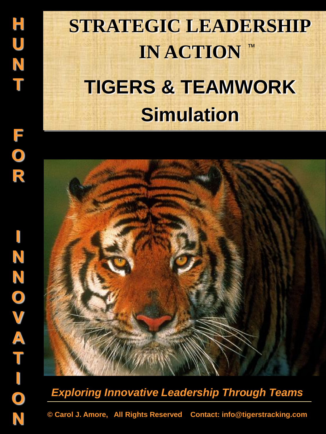# **STRATEGIC LEADERSHIP IN ACTION TIGERS & TEAMWORK Simulation** ™



## *Exploring Innovative Leadership Through Teams*

**© Carol J. Amore, All Rights Reserved Contact: info@tigerstracking.com**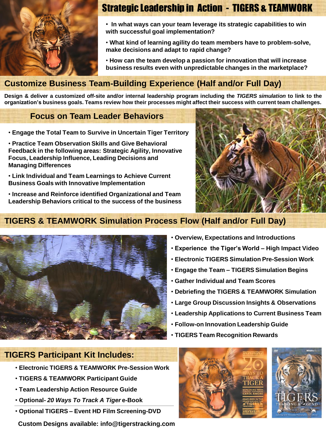

### Strategic Leadership in Action - TIGERS & TEAMWORK

• **In what ways can your team leverage its strategic capabilities to win with successful goal implementation?**

• **What kind of learning agility do team members have to problem-solve, make decisions and adapt to rapid change?**

• **How can the team develop a passion for innovation that will increase business results even with unpredictable changes in the marketplace?**

### **Customize Business Team-Building Experience (Half and/or Full Day)**

Design & deliver a customized off-site and/or internal leadership program including the TIGERS simulation to link to the organization's business goals. Teams review how their processes might affect their success with current team challenges.

#### **Focus on Team Leader Behaviors**

- **Engage the Total Team to Survive in Uncertain Tiger Territory**
- **Practice Team Observation Skills and Give Behavioral Feedback in the following areas: Strategic Agility, Innovative Focus, Leadership Influence, Leading Decisions and Managing Differences**
- **Link Individual and Team Learnings to Achieve Current Business Goals with Innovative Implementation**
- **Increase and Reinforce identified Organizational and Team Leadership Behaviors critical to the success of the business**



### **TIGERS & TEAMWORK Simulation Process Flow (Half and/or Full Day)**



- **Overview, Expectations and Introductions**
- **Experience the Tiger's World – High Impact Video**
- **Electronic TIGERS Simulation Pre-Session Work**
- **Engage the Team – TIGERS Simulation Begins**
- **Gather Individual and Team Scores**
- **Debriefing the TIGERS & TEAMWORK Simulation**
- **Large Group Discussion Insights & Observations**
- **Leadership Applications to Current Business Team**
- **Follow-on Innovation Leadership Guide**
- **TIGERS Team Recognition Rewards**

#### **TIGERS Participant Kit Includes:**

- **Electronic TIGERS & TEAMWORK Pre-Session Work**
- **TIGERS & TEAMWORK Participant Guide**
- **Team Leadership Action Resource Guide**
- **Optional-** *20 Ways To Track A Tiger* **e-Book**
- **Optional TIGERS – Event HD Film Screening-DVD**

**Custom Designs available: info@tigerstracking.com**